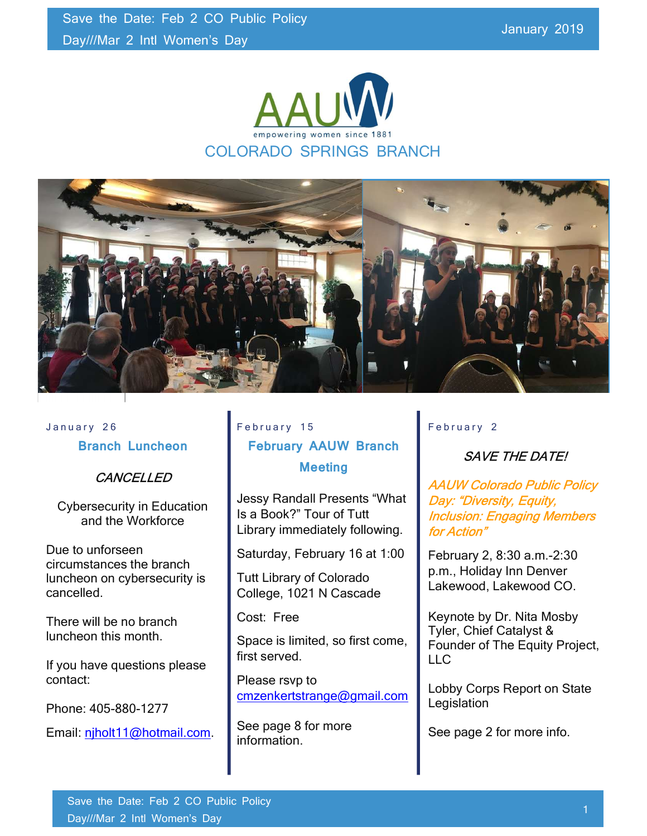



# January 26 Branch Luncheon

## **CANCELLED**

Cybersecurity in Education and the Workforce

Due to unforseen circumstances the branch luncheon on cybersecurity is cancelled.

There will be no branch luncheon this month.

If you have questions please contact:

Phone: 405-880-1277

Email: njholt11@hotmail.com.

# February 15 February AAUW Branch **Meeting**

Jessy Randall Presents "What Is a Book?" Tour of Tutt Library immediately following.

Saturday, February 16 at 1:00

Tutt Library of Colorado College, 1021 N Cascade

Cost: Free

Space is limited, so first come, first served.

Please rsvp to cmzenkertstrange@gmail.com

See page 8 for more information.

### February 2

# SAVE THE DATE!

AAUW Colorado Public Policy Day: "Diversity, Equity, Inclusion: Engaging Members for Action"

February 2, 8:30 a.m.-2:30 p.m., Holiday Inn Denver Lakewood, Lakewood CO.

Keynote by Dr. Nita Mosby Tyler, Chief Catalyst & Founder of The Equity Project, LLC

Lobby Corps Report on State **Legislation** 

See page 2 for more info.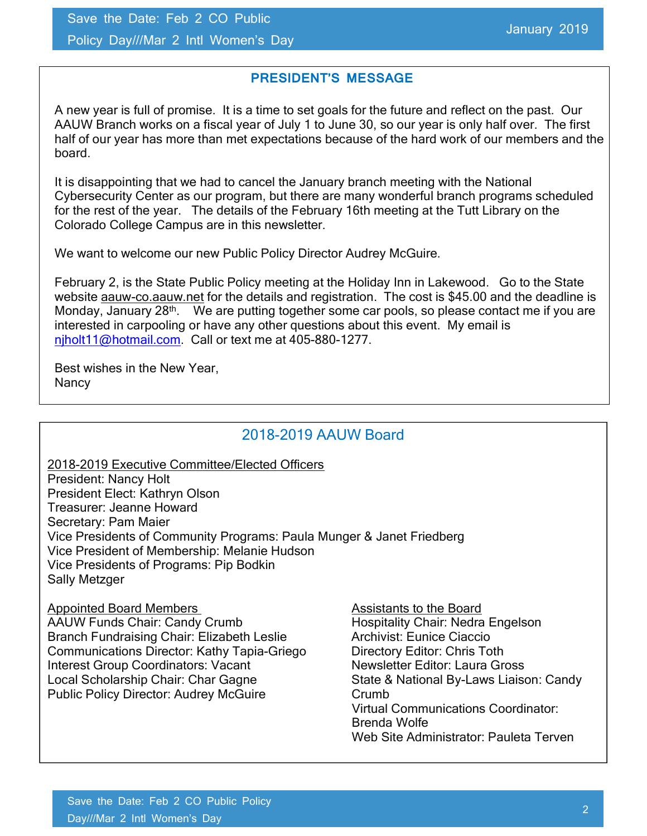### PRESIDENT'S MESSAGE

A new year is full of promise. It is a time to set goals for the future and reflect on the past. Our AAUW Branch works on a fiscal year of July 1 to June 30, so our year is only half over. The first half of our year has more than met expectations because of the hard work of our members and the board.

It is disappointing that we had to cancel the January branch meeting with the National Cybersecurity Center as our program, but there are many wonderful branch programs scheduled for the rest of the year. The details of the February 16th meeting at the Tutt Library on the Colorado College Campus are in this newsletter.

We want to welcome our new Public Policy Director Audrey McGuire.

February 2, is the State Public Policy meeting at the Holiday Inn in Lakewood. Go to the State website aauw-co.aauw.net for the details and registration. The cost is \$45.00 and the deadline is Monday, January 28<sup>th</sup>. We are putting together some car pools, so please contact me if you are interested in carpooling or have any other questions about this event. My email is njholt11@hotmail.com. Call or text me at 405-880-1277.

Best wishes in the New Year, **Nancy** 

## 2018-2019 AAUW Board

2018-2019 Executive Committee/Elected Officers President: Nancy Holt

President Elect: Kathryn Olson Treasurer: Jeanne Howard Secretary: Pam Maier Vice Presidents of Community Programs: Paula Munger & Janet Friedberg Vice President of Membership: Melanie Hudson Vice Presidents of Programs: Pip Bodkin Sally Metzger

Appointed Board Members Assistants to the Board AAUW Funds Chair: Candy Crumb Hospitality Chair: Nedra Engelson Branch Fundraising Chair: Elizabeth Leslie **Archivist: Eunice Ciaccio** Communications Director: Kathy Tapia-Griego Directory Editor: Chris Toth Interest Group Coordinators: Vacant Mewsletter Editor: Laura Gross<br>
Local Scholarship Chair: Char Gagne<br>
State & National By-Laws Liaise Public Policy Director: Audrey McGuire Crumb

State & National By-Laws Liaison: Candy Virtual Communications Coordinator: Brenda Wolfe Web Site Administrator: Pauleta Terven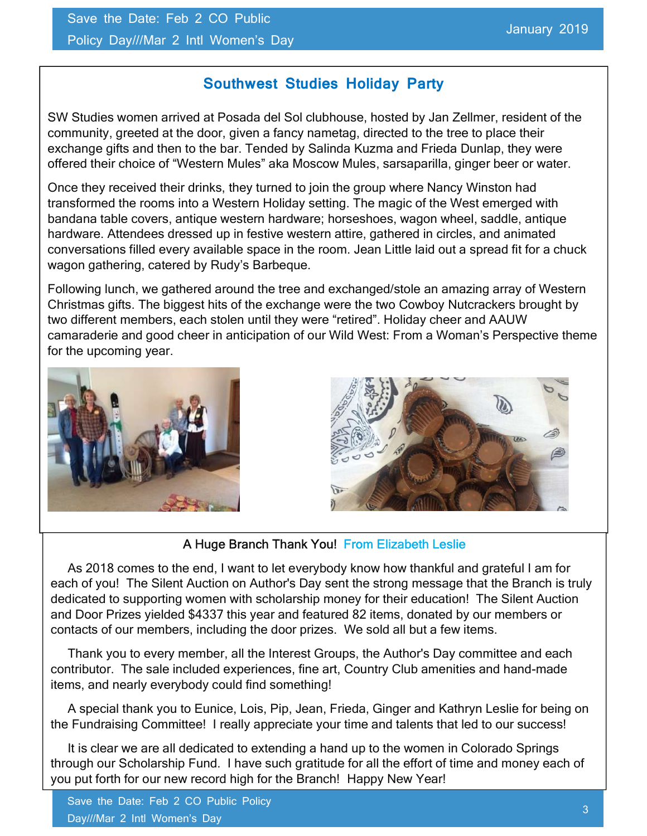# Southwest Studies Holiday Party

SW Studies women arrived at Posada del Sol clubhouse, hosted by Jan Zellmer, resident of the community, greeted at the door, given a fancy nametag, directed to the tree to place their exchange gifts and then to the bar. Tended by Salinda Kuzma and Frieda Dunlap, they were offered their choice of "Western Mules" aka Moscow Mules, sarsaparilla, ginger beer or water.

Once they received their drinks, they turned to join the group where Nancy Winston had transformed the rooms into a Western Holiday setting. The magic of the West emerged with bandana table covers, antique western hardware; horseshoes, wagon wheel, saddle, antique hardware. Attendees dressed up in festive western attire, gathered in circles, and animated conversations filled every available space in the room. Jean Little laid out a spread fit for a chuck wagon gathering, catered by Rudy's Barbeque.

Following lunch, we gathered around the tree and exchanged/stole an amazing array of Western Christmas gifts. The biggest hits of the exchange were the two Cowboy Nutcrackers brought by two different members, each stolen until they were "retired". Holiday cheer and AAUW camaraderie and good cheer in anticipation of our Wild West: From a Woman's Perspective theme for the upcoming year.





## A Huge Branch Thank You! From Elizabeth Leslie

 As 2018 comes to the end, I want to let everybody know how thankful and grateful I am for each of you! The Silent Auction on Author's Day sent the strong message that the Branch is truly dedicated to supporting women with scholarship money for their education! The Silent Auction and Door Prizes yielded \$4337 this year and featured 82 items, donated by our members or contacts of our members, including the door prizes. We sold all but a few items.

 Thank you to every member, all the Interest Groups, the Author's Day committee and each contributor. The sale included experiences, fine art, Country Club amenities and hand-made items, and nearly everybody could find something!

 A special thank you to Eunice, Lois, Pip, Jean, Frieda, Ginger and Kathryn Leslie for being on the Fundraising Committee! I really appreciate your time and talents that led to our success!

 It is clear we are all dedicated to extending a hand up to the women in Colorado Springs through our Scholarship Fund. I have such gratitude for all the effort of time and money each of you put forth for our new record high for the Branch! Happy New Year!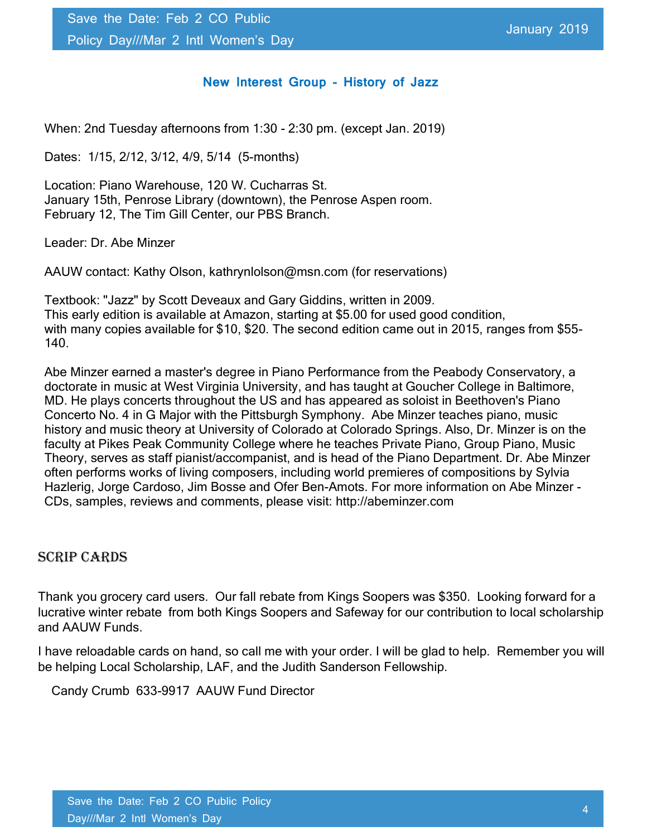#### New Interest Group - History of Jazz

When: 2nd Tuesday afternoons from 1:30 - 2:30 pm. (except Jan. 2019)

Dates: 1/15, 2/12, 3/12, 4/9, 5/14 (5-months)

Location: Piano Warehouse, 120 W. Cucharras St. January 15th, Penrose Library (downtown), the Penrose Aspen room. February 12, The Tim Gill Center, our PBS Branch.

Leader: Dr. Abe Minzer

AAUW contact: Kathy Olson, kathrynlolson@msn.com (for reservations)

Textbook: "Jazz" by Scott Deveaux and Gary Giddins, written in 2009. This early edition is available at Amazon, starting at \$5.00 for used good condition, with many copies available for \$10, \$20. The second edition came out in 2015, ranges from \$55- 140.

Abe Minzer earned a master's degree in Piano Performance from the Peabody Conservatory, a doctorate in music at West Virginia University, and has taught at Goucher College in Baltimore, MD. He plays concerts throughout the US and has appeared as soloist in Beethoven's Piano Concerto No. 4 in G Major with the Pittsburgh Symphony. Abe Minzer teaches piano, music history and music theory at University of Colorado at Colorado Springs. Also, Dr. Minzer is on the faculty at Pikes Peak Community College where he teaches Private Piano, Group Piano, Music Theory, serves as staff pianist/accompanist, and is head of the Piano Department. Dr. Abe Minzer often performs works of living composers, including world premieres of compositions by Sylvia Hazlerig, Jorge Cardoso, Jim Bosse and Ofer Ben-Amots. For more information on Abe Minzer - CDs, samples, reviews and comments, please visit: http://abeminzer.com

#### SCRIP CARDS

Thank you grocery card users. Our fall rebate from Kings Soopers was \$350. Looking forward for a lucrative winter rebate from both Kings Soopers and Safeway for our contribution to local scholarship and AAUW Funds.

I have reloadable cards on hand, so call me with your order. I will be glad to help. Remember you will be helping Local Scholarship, LAF, and the Judith Sanderson Fellowship.

Candy Crumb 633-9917 AAUW Fund Director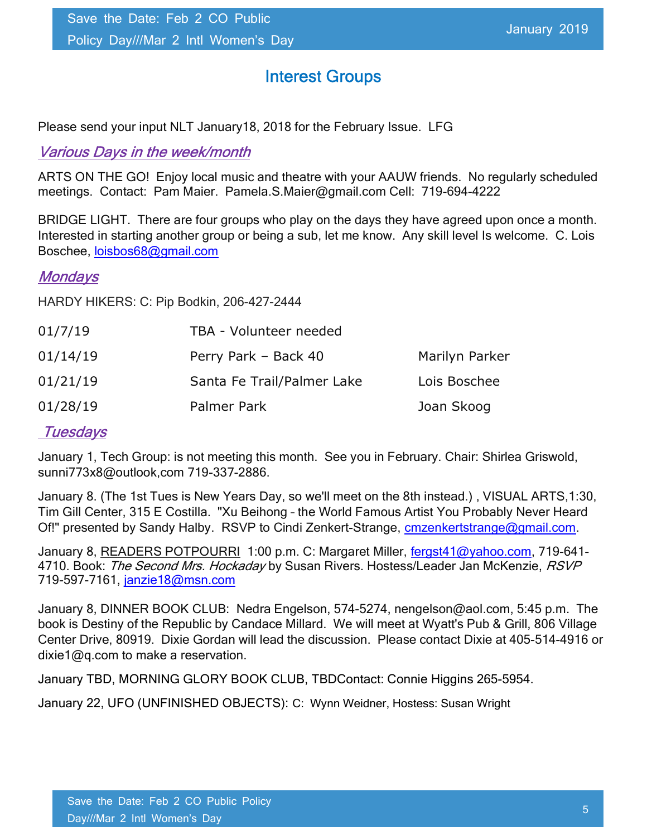# Interest Groups

Please send your input NLT January18, 2018 for the February Issue. LFG

## Various Days in the week/month

ARTS ON THE GO! Enjoy local music and theatre with your AAUW friends. No regularly scheduled meetings. Contact: Pam Maier. Pamela.S.Maier@gmail.com Cell: 719-694-4222

BRIDGE LIGHT. There are four groups who play on the days they have agreed upon once a month. Interested in starting another group or being a sub, let me know. Any skill level Is welcome. C. Lois Boschee, loisbos68@gmail.com

### **Mondays**

HARDY HIKERS: C: Pip Bodkin, 206-427-2444

| 01/7/19  | TBA - Volunteer needed     |                |
|----------|----------------------------|----------------|
| 01/14/19 | Perry Park - Back 40       | Marilyn Parker |
| 01/21/19 | Santa Fe Trail/Palmer Lake | Lois Boschee   |
| 01/28/19 | Palmer Park                | Joan Skoog     |

## **Tuesdays**

January 1, Tech Group: is not meeting this month. See you in February. Chair: Shirlea Griswold, sunni773x8@outlook,com 719-337-2886.

January 8. (The 1st Tues is New Years Day, so we'll meet on the 8th instead.) , VISUAL ARTS,1:30, Tim Gill Center, 315 E Costilla. "Xu Beihong – the World Famous Artist You Probably Never Heard Of!" presented by Sandy Halby. RSVP to Cindi Zenkert-Strange, **cmzenkertstrange@gmail.com.** 

January 8, READERS POTPOURRI 1:00 p.m. C: Margaret Miller, fergst41@yahoo.com, 719-641-4710. Book: The Second Mrs. Hockaday by Susan Rivers. Hostess/Leader Jan McKenzie, RSVP 719-597-7161, janzie18@msn.com

January 8, DINNER BOOK CLUB: Nedra Engelson, 574-5274, nengelson@aol.com, 5:45 p.m. The book is Destiny of the Republic by Candace Millard. We will meet at Wyatt's Pub & Grill, 806 Village Center Drive, 80919. Dixie Gordan will lead the discussion. Please contact Dixie at 405-514-4916 or dixie1@q.com to make a reservation.

January TBD, MORNING GLORY BOOK CLUB, TBDContact: Connie Higgins 265-5954.

January 22, UFO (UNFINISHED OBJECTS): C: Wynn Weidner, Hostess: Susan Wright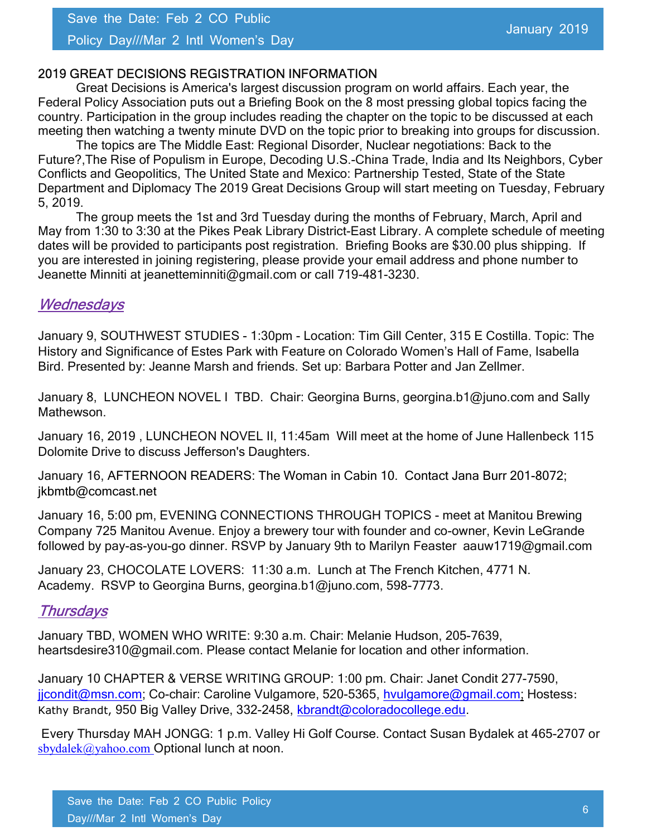#### Policy Day///Mar 2 Intl Women's Day

#### 2019 GREAT DECISIONS REGISTRATION INFORMATION

Great Decisions is America's largest discussion program on world affairs. Each year, the Federal Policy Association puts out a Briefing Book on the 8 most pressing global topics facing the country. Participation in the group includes reading the chapter on the topic to be discussed at each meeting then watching a twenty minute DVD on the topic prior to breaking into groups for discussion.

The topics are The Middle East: Regional Disorder, Nuclear negotiations: Back to the Future?,The Rise of Populism in Europe, Decoding U.S.-China Trade, India and Its Neighbors, Cyber Conflicts and Geopolitics, The United State and Mexico: Partnership Tested, State of the State Department and Diplomacy The 2019 Great Decisions Group will start meeting on Tuesday, February 5, 2019.

The group meets the 1st and 3rd Tuesday during the months of February, March, April and May from 1:30 to 3:30 at the Pikes Peak Library District-East Library. A complete schedule of meeting dates will be provided to participants post registration. Briefing Books are \$30.00 plus shipping. If you are interested in joining registering, please provide your email address and phone number to Jeanette Minniti at jeanetteminniti@gmail.com or call 719-481-3230.

### **Wednesdays**

January 9, SOUTHWEST STUDIES - 1:30pm - Location: Tim Gill Center, 315 E Costilla. Topic: The History and Significance of Estes Park with Feature on Colorado Women's Hall of Fame, Isabella Bird. Presented by: Jeanne Marsh and friends. Set up: Barbara Potter and Jan Zellmer.

January 8, LUNCHEON NOVEL I TBD. Chair: Georgina Burns, georgina.b1@juno.com and Sally Mathewson.

January 16, 2019 , LUNCHEON NOVEL II, 11:45am Will meet at the home of June Hallenbeck 115 Dolomite Drive to discuss Jefferson's Daughters.

January 16, AFTERNOON READERS: The Woman in Cabin 10. Contact Jana Burr 201-8072; jkbmtb@comcast.net

January 16, 5:00 pm, EVENING CONNECTIONS THROUGH TOPICS - meet at Manitou Brewing Company 725 Manitou Avenue. Enjoy a brewery tour with founder and co-owner, Kevin LeGrande followed by pay-as-you-go dinner. RSVP by January 9th to Marilyn Feaster aauw1719@gmail.com

January 23, CHOCOLATE LOVERS: 11:30 a.m. Lunch at The French Kitchen, 4771 N. Academy. RSVP to Georgina Burns, georgina.b1@juno.com, 598-7773.

### **Thursdays**

January TBD, WOMEN WHO WRITE: 9:30 a.m. Chair: Melanie Hudson, 205-7639, heartsdesire310@gmail.com. Please contact Melanie for location and other information.

January 10 CHAPTER & VERSE WRITING GROUP: 1:00 pm. Chair: Janet Condit 277-7590, jicondit@msn.com; Co-chair: Caroline Vulgamore, 520-5365, hvulgamore@gmail.com; Hostess: Kathy Brandt, 950 Big Valley Drive, 332-2458, kbrandt@coloradocollege.edu.

 Every Thursday MAH JONGG: 1 p.m. Valley Hi Golf Course. Contact Susan Bydalek at 465-2707 or sbydalek@yahoo.com Optional lunch at noon.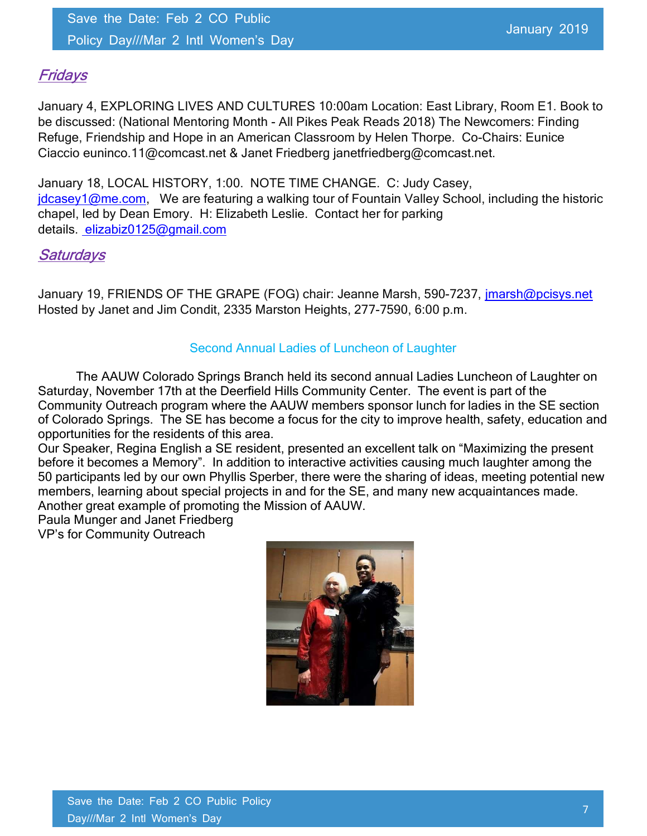## **Fridays**

January 4, EXPLORING LIVES AND CULTURES 10:00am Location: East Library, Room E1. Book to be discussed: (National Mentoring Month - All Pikes Peak Reads 2018) The Newcomers: Finding Refuge, Friendship and Hope in an American Classroom by Helen Thorpe. Co-Chairs: Eunice Ciaccio euninco.11@comcast.net & Janet Friedberg janetfriedberg@comcast.net.

January 18, LOCAL HISTORY, 1:00. NOTE TIME CHANGE. C: Judy Casey, jdcasey1@me.com, We are featuring a walking tour of Fountain Valley School, including the historic chapel, led by Dean Emory. H: Elizabeth Leslie. Contact her for parking details. elizabiz0125@gmail.com

### **Saturdays**

January 19, FRIENDS OF THE GRAPE (FOG) chair: Jeanne Marsh, 590-7237, jmarsh@pcisys.net Hosted by Janet and Jim Condit, 2335 Marston Heights, 277-7590, 6:00 p.m.

### Second Annual Ladies of Luncheon of Laughter

The AAUW Colorado Springs Branch held its second annual Ladies Luncheon of Laughter on Saturday, November 17th at the Deerfield Hills Community Center. The event is part of the Community Outreach program where the AAUW members sponsor lunch for ladies in the SE section of Colorado Springs. The SE has become a focus for the city to improve health, safety, education and opportunities for the residents of this area.

Our Speaker, Regina English a SE resident, presented an excellent talk on "Maximizing the present before it becomes a Memory". In addition to interactive activities causing much laughter among the 50 participants led by our own Phyllis Sperber, there were the sharing of ideas, meeting potential new members, learning about special projects in and for the SE, and many new acquaintances made. Another great example of promoting the Mission of AAUW.

Paula Munger and Janet Friedberg

VP's for Community Outreach

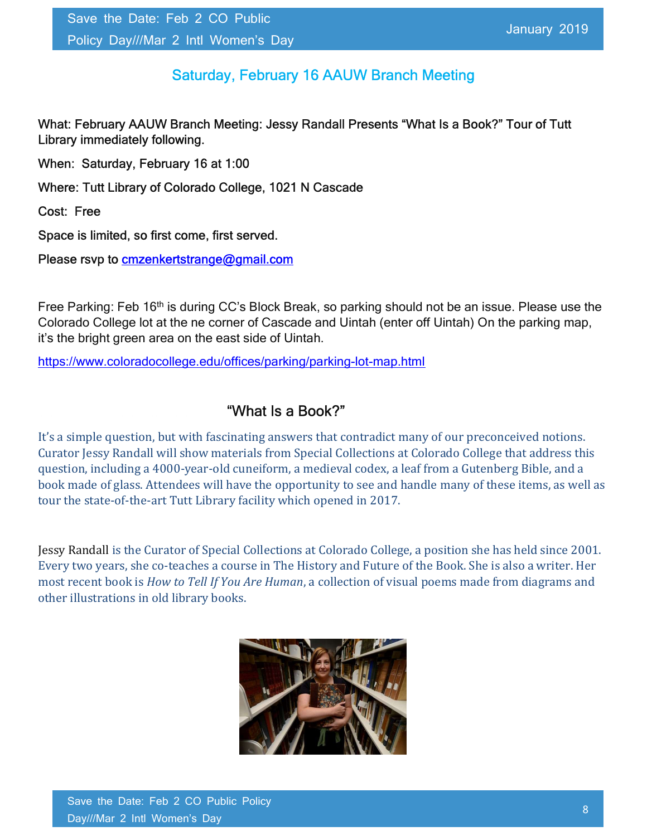# Saturday, February 16 AAUW Branch Meeting

What: February AAUW Branch Meeting: Jessy Randall Presents "What Is a Book?" Tour of Tutt Library immediately following.

When: Saturday, February 16 at 1:00

Where: Tutt Library of Colorado College, 1021 N Cascade

Cost: Free

Space is limited, so first come, first served.

Please rsvp to **cmzenkertstrange@gmail.com** 

Free Parking: Feb 16<sup>th</sup> is during CC's Block Break, so parking should not be an issue. Please use the Colorado College lot at the ne corner of Cascade and Uintah (enter off Uintah) On the parking map, it's the bright green area on the east side of Uintah.

https://www.coloradocollege.edu/offices/parking/parking-lot-map.html

## "What Is a Book?"

It's a simple question, but with fascinating answers that contradict many of our preconceived notions. Curator Jessy Randall will show materials from Special Collections at Colorado College that address this question, including a 4000-year-old cuneiform, a medieval codex, a leaf from a Gutenberg Bible, and a book made of glass. Attendees will have the opportunity to see and handle many of these items, as well as tour the state-of-the-art Tutt Library facility which opened in 2017.

Jessy Randall is the Curator of Special Collections at Colorado College, a position she has held since 2001. Every two years, she co-teaches a course in The History and Future of the Book. She is also a writer. Her most recent book is How to Tell If You Are Human, a collection of visual poems made from diagrams and other illustrations in old library books.

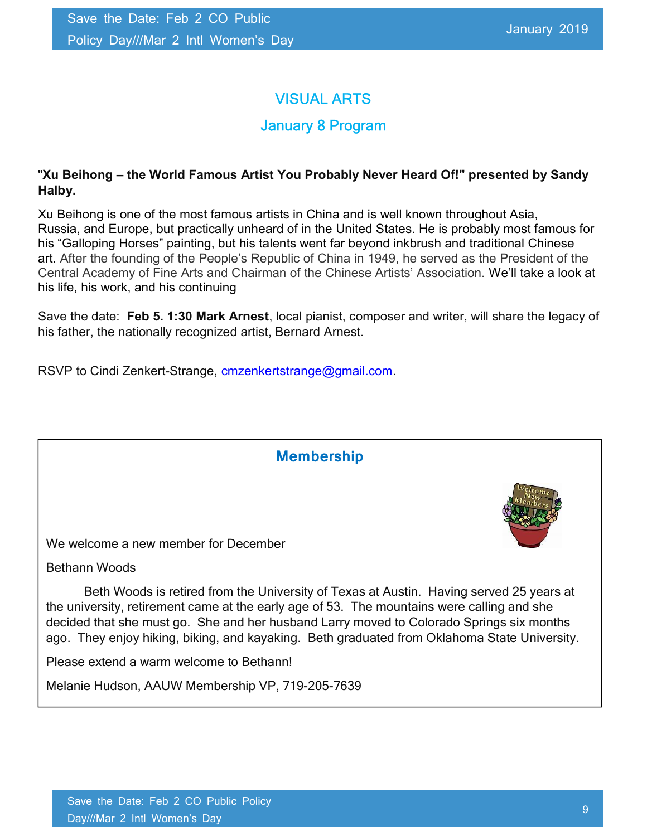# VISUAL ARTS

## January 8 Program

### "Xu Beihong – the World Famous Artist You Probably Never Heard Of!" presented by Sandy Halby.

Xu Beihong is one of the most famous artists in China and is well known throughout Asia, Russia, and Europe, but practically unheard of in the United States. He is probably most famous for his "Galloping Horses" painting, but his talents went far beyond inkbrush and traditional Chinese art. After the founding of the People's Republic of China in 1949, he served as the President of the Central Academy of Fine Arts and Chairman of the Chinese Artists' Association. We'll take a look at his life, his work, and his continuing

Save the date: Feb 5. 1:30 Mark Arnest, local pianist, composer and writer, will share the legacy of his father, the nationally recognized artist, Bernard Arnest.

RSVP to Cindi Zenkert-Strange, cmzenkertstrange@gmail.com.